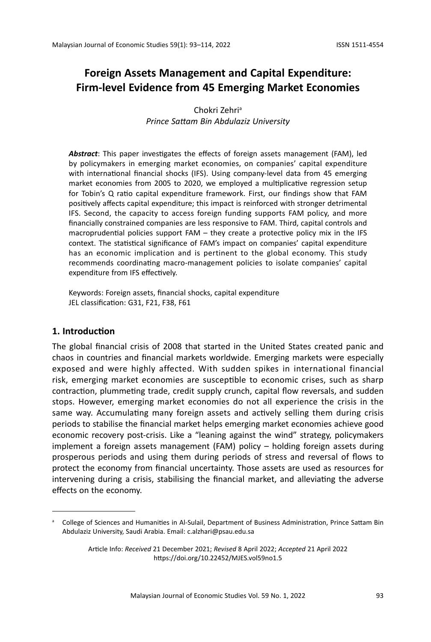# **Foreign Assets Management and Capital Expenditure: Firm-level Evidence from 45 Emerging Market Economies**

Chokri Zehri<sup>a</sup> *Prince Sattam Bin Abdulaziz University*

*Abstract*: This paper investigates the effects of foreign assets management (FAM), led by policymakers in emerging market economies, on companies' capital expenditure with international financial shocks (IFS). Using company-level data from 45 emerging market economies from 2005 to 2020, we employed a multiplicative regression setup for Tobin's Q ratio capital expenditure framework. First, our findings show that FAM positively affects capital expenditure; this impact is reinforced with stronger detrimental IFS. Second, the capacity to access foreign funding supports FAM policy, and more financially constrained companies are less responsive to FAM. Third, capital controls and macroprudential policies support FAM – they create a protective policy mix in the IFS context. The statistical significance of FAM's impact on companies' capital expenditure has an economic implication and is pertinent to the global economy. This study recommends coordinating macro-management policies to isolate companies' capital expenditure from IFS effectively.

Keywords: Foreign assets, financial shocks, capital expenditure JEL classification: G31, F21, F38, F61

### **1. Introduction**

The global financial crisis of 2008 that started in the United States created panic and chaos in countries and financial markets worldwide. Emerging markets were especially exposed and were highly affected. With sudden spikes in international financial risk, emerging market economies are susceptible to economic crises, such as sharp contraction, plummeting trade, credit supply crunch, capital flow reversals, and sudden stops. However, emerging market economies do not all experience the crisis in the same way. Accumulating many foreign assets and actively selling them during crisis periods to stabilise the financial market helps emerging market economies achieve good economic recovery post-crisis. Like a "leaning against the wind" strategy, policymakers implement a foreign assets management (FAM) policy – holding foreign assets during prosperous periods and using them during periods of stress and reversal of flows to protect the economy from financial uncertainty. Those assets are used as resources for intervening during a crisis, stabilising the financial market, and alleviating the adverse effects on the economy.

a College of Sciences and Humanities in Al-Sulail, Department of Business Administration, Prince Sattam Bin Abdulaziz University, Saudi Arabia. Email: c.alzhari@psau.edu.sa

Article Info: *Received* 21 December 2021; *Revised* 8 April 2022; *Accepted* 21 April 2022 https://doi.org/10.22452/MJES.vol59no1.5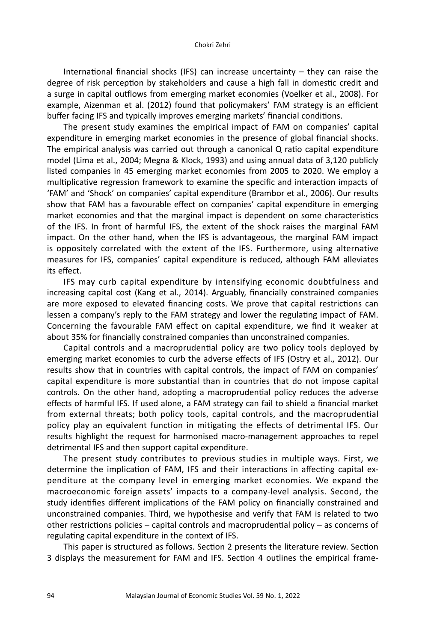International financial shocks (IFS) can increase uncertainty – they can raise the degree of risk perception by stakeholders and cause a high fall in domestic credit and a surge in capital outflows from emerging market economies (Voelker et al., 2008). For example, Aizenman et al. (2012) found that policymakers' FAM strategy is an efficient buffer facing IFS and typically improves emerging markets' financial conditions.

The present study examines the empirical impact of FAM on companies' capital expenditure in emerging market economies in the presence of global financial shocks. The empirical analysis was carried out through a canonical Q ratio capital expenditure model (Lima et al., 2004; Megna & Klock, 1993) and using annual data of 3,120 publicly listed companies in 45 emerging market economies from 2005 to 2020. We employ a multiplicative regression framework to examine the specific and interaction impacts of 'FAM' and 'Shock' on companies' capital expenditure (Brambor et al., 2006). Our results show that FAM has a favourable effect on companies' capital expenditure in emerging market economies and that the marginal impact is dependent on some characteristics of the IFS. In front of harmful IFS, the extent of the shock raises the marginal FAM impact. On the other hand, when the IFS is advantageous, the marginal FAM impact is oppositely correlated with the extent of the IFS. Furthermore, using alternative measures for IFS, companies' capital expenditure is reduced, although FAM alleviates its effect.

IFS may curb capital expenditure by intensifying economic doubtfulness and increasing capital cost (Kang et al., 2014). Arguably, financially constrained companies are more exposed to elevated financing costs. We prove that capital restrictions can lessen a company's reply to the FAM strategy and lower the regulating impact of FAM. Concerning the favourable FAM effect on capital expenditure, we find it weaker at about 35% for financially constrained companies than unconstrained companies.

Capital controls and a macroprudential policy are two policy tools deployed by emerging market economies to curb the adverse effects of IFS (Ostry et al., 2012). Our results show that in countries with capital controls, the impact of FAM on companies' capital expenditure is more substantial than in countries that do not impose capital controls. On the other hand, adopting a macroprudential policy reduces the adverse effects of harmful IFS. If used alone, a FAM strategy can fail to shield a financial market from external threats; both policy tools, capital controls, and the macroprudential policy play an equivalent function in mitigating the effects of detrimental IFS. Our results highlight the request for harmonised macro-management approaches to repel detrimental IFS and then support capital expenditure.

The present study contributes to previous studies in multiple ways. First, we determine the implication of FAM, IFS and their interactions in affecting capital expenditure at the company level in emerging market economies. We expand the macroeconomic foreign assets' impacts to a company-level analysis. Second, the study identifies different implications of the FAM policy on financially constrained and unconstrained companies. Third, we hypothesise and verify that FAM is related to two other restrictions policies – capital controls and macroprudential policy – as concerns of regulating capital expenditure in the context of IFS.

This paper is structured as follows. Section 2 presents the literature review. Section 3 displays the measurement for FAM and IFS. Section 4 outlines the empirical frame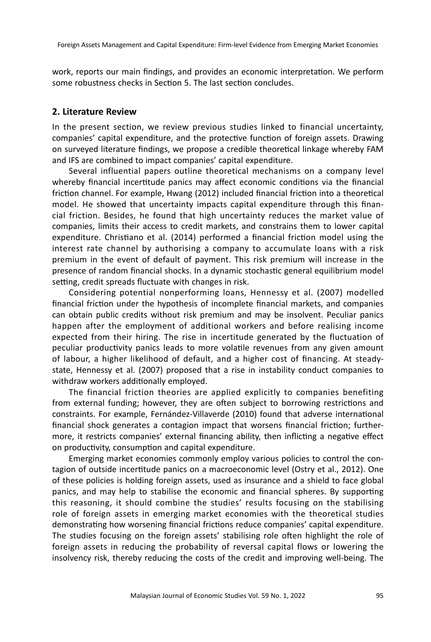work, reports our main findings, and provides an economic interpretation. We perform some robustness checks in Section 5. The last section concludes.

#### **2. Literature Review**

In the present section, we review previous studies linked to financial uncertainty, companies' capital expenditure, and the protective function of foreign assets. Drawing on surveyed literature findings, we propose a credible theoretical linkage whereby FAM and IFS are combined to impact companies' capital expenditure.

Several influential papers outline theoretical mechanisms on a company level whereby financial incertitude panics may affect economic conditions via the financial friction channel. For example, Hwang (2012) included financial friction into a theoretical model. He showed that uncertainty impacts capital expenditure through this financial friction. Besides, he found that high uncertainty reduces the market value of companies, limits their access to credit markets, and constrains them to lower capital expenditure. Christiano et al. (2014) performed a financial friction model using the interest rate channel by authorising a company to accumulate loans with a risk premium in the event of default of payment. This risk premium will increase in the presence of random financial shocks. In a dynamic stochastic general equilibrium model setting, credit spreads fluctuate with changes in risk.

Considering potential nonperforming loans, Hennessy et al. (2007) modelled financial friction under the hypothesis of incomplete financial markets, and companies can obtain public credits without risk premium and may be insolvent. Peculiar panics happen after the employment of additional workers and before realising income expected from their hiring. The rise in incertitude generated by the fluctuation of peculiar productivity panics leads to more volatile revenues from any given amount of labour, a higher likelihood of default, and a higher cost of financing. At steadystate, Hennessy et al. (2007) proposed that a rise in instability conduct companies to withdraw workers additionally employed.

The financial friction theories are applied explicitly to companies benefiting from external funding; however, they are often subject to borrowing restrictions and constraints. For example, Fernández-Villaverde (2010) found that adverse international financial shock generates a contagion impact that worsens financial friction; furthermore, it restricts companies' external financing ability, then inflicting a negative effect on productivity, consumption and capital expenditure.

Emerging market economies commonly employ various policies to control the contagion of outside incertitude panics on a macroeconomic level (Ostry et al., 2012). One of these policies is holding foreign assets, used as insurance and a shield to face global panics, and may help to stabilise the economic and financial spheres. By supporting this reasoning, it should combine the studies' results focusing on the stabilising role of foreign assets in emerging market economies with the theoretical studies demonstrating how worsening financial frictions reduce companies' capital expenditure. The studies focusing on the foreign assets' stabilising role often highlight the role of foreign assets in reducing the probability of reversal capital flows or lowering the insolvency risk, thereby reducing the costs of the credit and improving well-being. The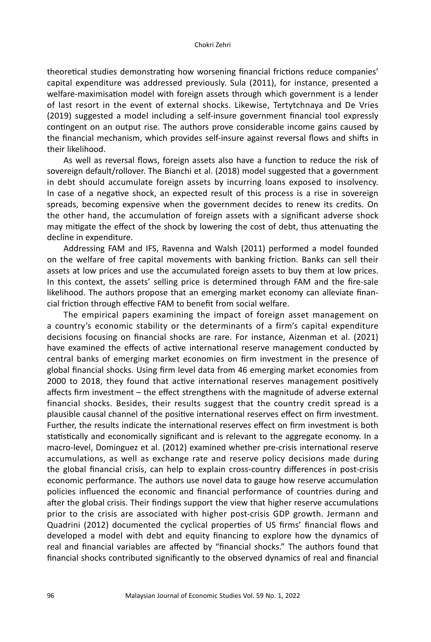theoretical studies demonstrating how worsening financial frictions reduce companies' capital expenditure was addressed previously. Sula (2011), for instance, presented a welfare-maximisation model with foreign assets through which government is a lender of last resort in the event of external shocks. Likewise, Tertytchnaya and De Vries (2019) suggested a model including a self-insure government financial tool expressly contingent on an output rise. The authors prove considerable income gains caused by the financial mechanism, which provides self-insure against reversal flows and shifts in their likelihood.

As well as reversal flows, foreign assets also have a function to reduce the risk of sovereign default/rollover. The Bianchi et al. (2018) model suggested that a government in debt should accumulate foreign assets by incurring loans exposed to insolvency. In case of a negative shock, an expected result of this process is a rise in sovereign spreads, becoming expensive when the government decides to renew its credits. On the other hand, the accumulation of foreign assets with a significant adverse shock may mitigate the effect of the shock by lowering the cost of debt, thus attenuating the decline in expenditure.

Addressing FAM and IFS, Ravenna and Walsh (2011) performed a model founded on the welfare of free capital movements with banking friction. Banks can sell their assets at low prices and use the accumulated foreign assets to buy them at low prices. In this context, the assets' selling price is determined through FAM and the fire-sale likelihood. The authors propose that an emerging market economy can alleviate financial friction through effective FAM to benefit from social welfare.

The empirical papers examining the impact of foreign asset management on a country's economic stability or the determinants of a firm's capital expenditure decisions focusing on financial shocks are rare. For instance, Aizenman et al. (2021) have examined the effects of active international reserve management conducted by central banks of emerging market economies on firm investment in the presence of global financial shocks. Using firm level data from 46 emerging market economies from 2000 to 2018, they found that active international reserves management positively affects firm investment – the effect strengthens with the magnitude of adverse external financial shocks. Besides, their results suggest that the country credit spread is a plausible causal channel of the positive international reserves effect on firm investment. Further, the results indicate the international reserves effect on firm investment is both statistically and economically significant and is relevant to the aggregate economy. In a macro-level, Dominguez et al. (2012) examined whether pre-crisis international reserve accumulations, as well as exchange rate and reserve policy decisions made during the global financial crisis, can help to explain cross-country differences in post-crisis economic performance. The authors use novel data to gauge how reserve accumulation policies influenced the economic and financial performance of countries during and after the global crisis. Their findings support the view that higher reserve accumulations prior to the crisis are associated with higher post-crisis GDP growth. Jermann and Quadrini (2012) documented the cyclical properties of US firms' financial flows and developed a model with debt and equity financing to explore how the dynamics of real and financial variables are affected by "financial shocks." The authors found that financial shocks contributed significantly to the observed dynamics of real and financial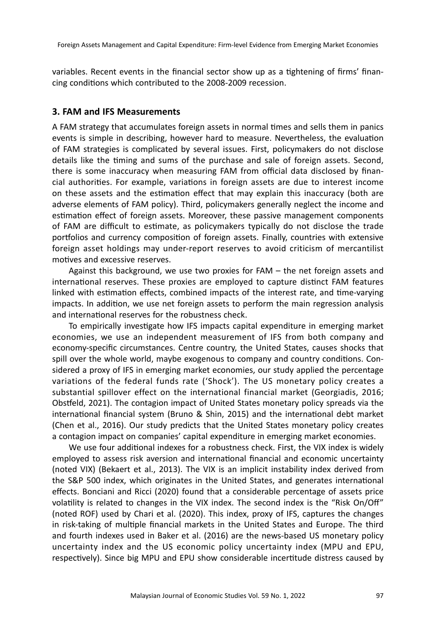variables. Recent events in the financial sector show up as a tightening of firms' financing conditions which contributed to the 2008-2009 recession.

#### **3. FAM and IFS Measurements**

A FAM strategy that accumulates foreign assets in normal times and sells them in panics events is simple in describing, however hard to measure. Nevertheless, the evaluation of FAM strategies is complicated by several issues. First, policymakers do not disclose details like the timing and sums of the purchase and sale of foreign assets. Second, there is some inaccuracy when measuring FAM from official data disclosed by financial authorities. For example, variations in foreign assets are due to interest income on these assets and the estimation effect that may explain this inaccuracy (both are adverse elements of FAM policy). Third, policymakers generally neglect the income and estimation effect of foreign assets. Moreover, these passive management components of FAM are difficult to estimate, as policymakers typically do not disclose the trade portfolios and currency composition of foreign assets. Finally, countries with extensive foreign asset holdings may under-report reserves to avoid criticism of mercantilist motives and excessive reserves.

Against this background, we use two proxies for FAM – the net foreign assets and international reserves. These proxies are employed to capture distinct FAM features linked with estimation effects, combined impacts of the interest rate, and time-varying impacts. In addition, we use net foreign assets to perform the main regression analysis and international reserves for the robustness check.

To empirically investigate how IFS impacts capital expenditure in emerging market economies, we use an independent measurement of IFS from both company and economy-specific circumstances. Centre country, the United States, causes shocks that spill over the whole world, maybe exogenous to company and country conditions. Considered a proxy of IFS in emerging market economies, our study applied the percentage variations of the federal funds rate ('Shock'). The US monetary policy creates a substantial spillover effect on the international financial market (Georgiadis, 2016; Obstfeld, 2021). The contagion impact of United States monetary policy spreads via the international financial system (Bruno & Shin, 2015) and the international debt market (Chen et al., 2016). Our study predicts that the United States monetary policy creates a contagion impact on companies' capital expenditure in emerging market economies.

We use four additional indexes for a robustness check. First, the VIX index is widely employed to assess risk aversion and international financial and economic uncertainty (noted VIX) (Bekaert et al., 2013). The VIX is an implicit instability index derived from the S&P 500 index, which originates in the United States, and generates international effects. Bonciani and Ricci (2020) found that a considerable percentage of assets price volatility is related to changes in the VIX index. The second index is the "Risk On/Off" (noted ROF) used by Chari et al. (2020). This index, proxy of IFS, captures the changes in risk-taking of multiple financial markets in the United States and Europe. The third and fourth indexes used in Baker et al. (2016) are the news-based US monetary policy uncertainty index and the US economic policy uncertainty index (MPU and EPU, respectively). Since big MPU and EPU show considerable incertitude distress caused by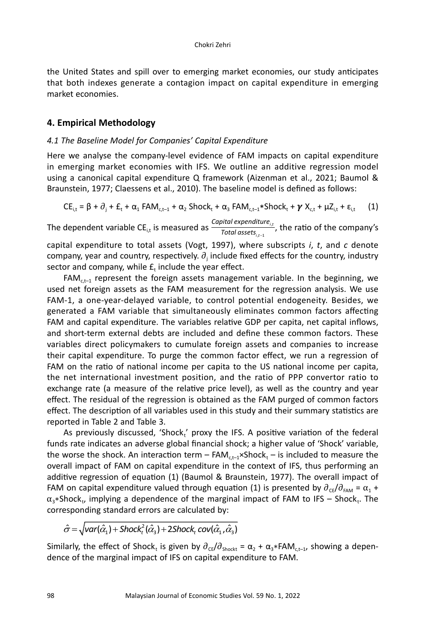the United States and spill over to emerging market economies, our study anticipates that both indexes generate a contagion impact on capital expenditure in emerging market economies.

### **4. Empirical Methodology**

#### *4.1 The Baseline Model for Companies' Capital Expenditure*

Here we analyse the company-level evidence of FAM impacts on capital expenditure in emerging market economies with IFS. We outline an additive regression model using a canonical capital expenditure Q framework (Aizenman et al., 2021; Baumol & Braunstein, 1977; Claessens et al., 2010). The baseline model is defined as follows:

$$
CE_{i,t} = \beta + \partial_j + E_t + \alpha_1 \text{FAM}_{c,t-1} + \alpha_2 \text{Shock}_t + \alpha_3 \text{FAM}_{c,t-1} * \text{Shock}_t + \gamma X_{c,t} + \mu Z_{i,t} + \epsilon_{i,t} \qquad (1)
$$

The dependent variable CE<sub>i,t</sub> is measured as  $\frac{Capital\ expected time_{i,t}}{Total\ assets}$ , the ratio of the company's  $\frac{1}{\pi}$ *Total assets i t*  $e$ xpenditure<sub>i,</sub> , −1

capital expenditure to total assets (Vogt, 1997), where subscripts *i*, *t*, and *c* denote company, year and country, respectively.  $\partial_{\text{j}}$  include fixed effects for the country, industry sector and company, while  $E_t$  include the year effect.

 $FAM<sub>ct-1</sub>$  represent the foreign assets management variable. In the beginning, we used net foreign assets as the FAM measurement for the regression analysis. We use FAM-1, a one-year-delayed variable, to control potential endogeneity. Besides, we generated a FAM variable that simultaneously eliminates common factors affecting FAM and capital expenditure. The variables relative GDP per capita, net capital inflows, and short-term external debts are included and define these common factors. These variables direct policymakers to cumulate foreign assets and companies to increase their capital expenditure. To purge the common factor effect, we run a regression of FAM on the ratio of national income per capita to the US national income per capita, the net international investment position, and the ratio of PPP convertor ratio to exchange rate (a measure of the relative price level), as well as the country and year effect. The residual of the regression is obtained as the FAM purged of common factors effect. The description of all variables used in this study and their summary statistics are reported in Table 2 and Table 3.

As previously discussed, 'Shock,' proxy the IFS. A positive variation of the federal funds rate indicates an adverse global financial shock; a higher value of 'Shock' variable, the worse the shock. An interaction term –  $FAM_{c,t-1} \times Shock_t$  – is included to measure the overall impact of FAM on capital expenditure in the context of IFS, thus performing an additive regression of equation (1) (Baumol & Braunstein, 1977). The overall impact of FAM on capital expenditure valued through equation (1) is presented by  $\partial_{\text{CF}}/\partial_{\text{FAM}} = \alpha_1 + \alpha_2$  $\alpha_3$ \*Shock<sub>t</sub>, implying a dependence of the marginal impact of FAM to IFS – Shock<sub>t</sub>. The corresponding standard errors are calculated by:

$$
\hat{\sigma} = \sqrt{\text{var}(\hat{\alpha}_1) + \text{Shock}_t^2(\hat{\alpha}_3) + 2\text{Shock}_t \text{cov}(\hat{\alpha}_1, \hat{\alpha}_3)}
$$

Similarly, the effect of Shock<sub>t</sub> is given by  $\partial_{\text{CE}}/\partial_{\text{Shockt}} = \alpha_2 + \alpha_3 * FAM_{c.t-1}$ , showing a dependence of the marginal impact of IFS on capital expenditure to FAM.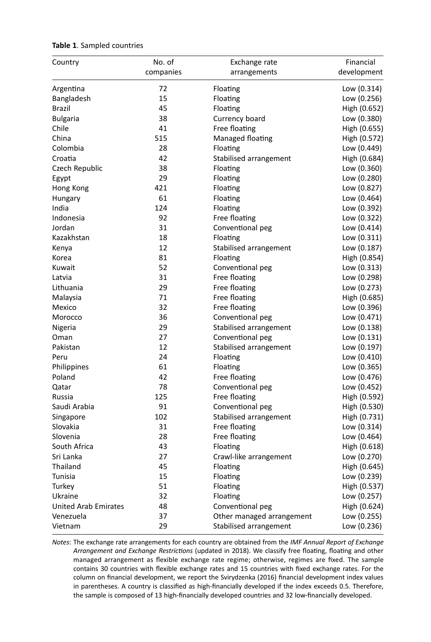| Country                     | No. of    | Exchange rate             | Financial                   |
|-----------------------------|-----------|---------------------------|-----------------------------|
|                             | companies | arrangements              | development                 |
| Argentina                   | 72        | Floating                  | Low (0.314)                 |
| Bangladesh                  | 15        | Floating                  | Low (0.256)                 |
| <b>Brazil</b>               | 45        | Floating                  | High (0.652)                |
| <b>Bulgaria</b>             | 38        | Currency board            | Low (0.380)                 |
| Chile                       | 41        | Free floating             | High (0.655)                |
| China                       | 515       | Managed floating          | High (0.572)                |
| Colombia                    | 28        | Floating                  | Low (0.449)                 |
| Croatia                     | 42        | Stabilised arrangement    | High (0.684)                |
| Czech Republic              | 38        | Floating                  | Low (0.360)                 |
| Egypt                       | 29        | Floating                  | Low (0.280)                 |
| Hong Kong                   | 421       | Floating                  | Low (0.827)                 |
| Hungary                     | 61        | Floating                  | Low (0.464)                 |
| India                       | 124       | Floating                  | Low (0.392)                 |
| Indonesia                   | 92        | Free floating             | Low (0.322)                 |
| Jordan                      | 31        | Conventional peg          | Low (0.414)                 |
| Kazakhstan                  | 18        | Floating                  | Low (0.311)                 |
| Kenya                       | 12        | Stabilised arrangement    | Low (0.187)                 |
| Korea                       | 81        | Floating                  | High (0.854)                |
| Kuwait                      | 52        | Conventional peg          | Low (0.313)                 |
| Latvia                      | 31        | Free floating             | Low (0.298)                 |
| Lithuania                   | 29        | Free floating             | Low (0.273)                 |
| Malaysia                    | 71        | Free floating             | High (0.685)                |
| Mexico                      | 32        | Free floating             | Low (0.396)                 |
| Morocco                     | 36        | Conventional peg          | Low (0.471)                 |
| Nigeria                     | 29        | Stabilised arrangement    | Low (0.138)                 |
| Oman                        | 27        | Conventional peg          | Low (0.131)                 |
| Pakistan                    | 12        | Stabilised arrangement    | Low (0.197)                 |
| Peru                        | 24        | Floating                  | Low (0.410)                 |
| Philippines                 | 61        | Floating                  | Low (0.365)                 |
| Poland                      | 42        | Free floating             | Low (0.476)                 |
| Qatar                       | 78        | Conventional peg          | Low (0.452)                 |
| Russia                      | 125       | Free floating             | High (0.592)                |
| Saudi Arabia                | 91        | Conventional peg          | High (0.530)                |
| Singapore                   | 102       | Stabilised arrangement    | High (0.731)                |
| Slovakia                    | 31        | Free floating             | Low (0.314)                 |
| Slovenia                    | 28        | Free floating             | Low (0.464)                 |
| South Africa                | 43        | Floating                  | High (0.618)                |
| Sri Lanka                   | 27        | Crawl-like arrangement    | Low (0.270)                 |
| Thailand                    | 45        | Floating                  | High (0.645)                |
| Tunisia                     | 15        | Floating                  | Low (0.239)                 |
| Turkey                      | 51        | Floating                  |                             |
| Ukraine                     | 32        | Floating                  | High (0.537)<br>Low (0.257) |
| <b>United Arab Emirates</b> | 48        |                           |                             |
| Venezuela                   | 37        | Conventional peg          | High (0.624)                |
|                             | 29        | Other managed arrangement | Low (0.255)                 |
| Vietnam                     |           | Stabilised arrangement    | Low (0.236)                 |

### **Table 1**. Sampled countries

*Notes*: The exchange rate arrangements for each country are obtained from the *IMF Annual Report of Exchange Arrangement and Exchange Restrictions* (updated in 2018). We classify free floating, floating and other managed arrangement as flexible exchange rate regime; otherwise, regimes are fixed. The sample contains 30 countries with flexible exchange rates and 15 countries with fixed exchange rates. For the column on financial development, we report the Svirydzenka (2016) financial development index values in parentheses. A country is classified as high-financially developed if the index exceeds 0.5. Therefore, the sample is composed of 13 high-financially developed countries and 32 low-financially developed.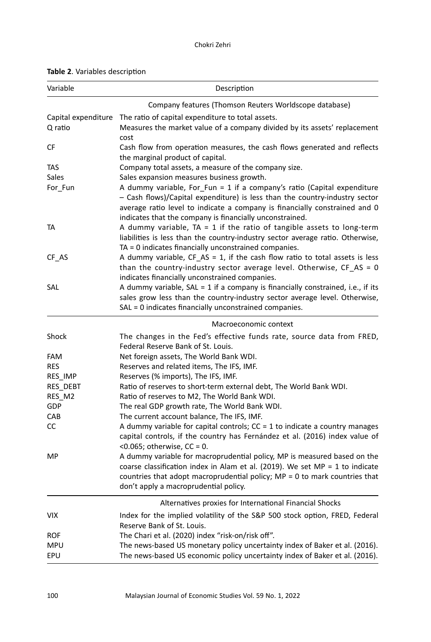| Variable        | Description                                                                                                                                                                                                                                                                                      |  |  |  |
|-----------------|--------------------------------------------------------------------------------------------------------------------------------------------------------------------------------------------------------------------------------------------------------------------------------------------------|--|--|--|
|                 | Company features (Thomson Reuters Worldscope database)                                                                                                                                                                                                                                           |  |  |  |
|                 | Capital expenditure The ratio of capital expenditure to total assets.                                                                                                                                                                                                                            |  |  |  |
| Q ratio         | Measures the market value of a company divided by its assets' replacement<br>cost                                                                                                                                                                                                                |  |  |  |
| СF              | Cash flow from operation measures, the cash flows generated and reflects<br>the marginal product of capital.                                                                                                                                                                                     |  |  |  |
| TAS             | Company total assets, a measure of the company size.                                                                                                                                                                                                                                             |  |  |  |
| Sales           | Sales expansion measures business growth.                                                                                                                                                                                                                                                        |  |  |  |
| For Fun         | A dummy variable, For_Fun = 1 if a company's ratio (Capital expenditure<br>- Cash flows)/Capital expenditure) is less than the country-industry sector<br>average ratio level to indicate a company is financially constrained and 0<br>indicates that the company is financially unconstrained. |  |  |  |
| TA              | A dummy variable, $TA = 1$ if the ratio of tangible assets to long-term<br>liabilities is less than the country-industry sector average ratio. Otherwise,<br>TA = 0 indicates financially unconstrained companies.                                                                               |  |  |  |
| CF AS           | A dummy variable, $CF\_AS = 1$ , if the cash flow ratio to total assets is less<br>than the country-industry sector average level. Otherwise, $CF\_AS = 0$<br>indicates financially unconstrained companies.                                                                                     |  |  |  |
| SAL             | A dummy variable, SAL = 1 if a company is financially constrained, i.e., if its<br>sales grow less than the country-industry sector average level. Otherwise,<br>SAL = 0 indicates financially unconstrained companies.                                                                          |  |  |  |
|                 | Macroeconomic context                                                                                                                                                                                                                                                                            |  |  |  |
| Shock           | The changes in the Fed's effective funds rate, source data from FRED,<br>Federal Reserve Bank of St. Louis.                                                                                                                                                                                      |  |  |  |
| <b>FAM</b>      | Net foreign assets, The World Bank WDI.                                                                                                                                                                                                                                                          |  |  |  |
| <b>RES</b>      | Reserves and related items, The IFS, IMF.                                                                                                                                                                                                                                                        |  |  |  |
| <b>RES IMP</b>  | Reserves (% imports), The IFS, IMF.                                                                                                                                                                                                                                                              |  |  |  |
| <b>RES DEBT</b> | Ratio of reserves to short-term external debt, The World Bank WDI.                                                                                                                                                                                                                               |  |  |  |
| RES M2          | Ratio of reserves to M2, The World Bank WDI.                                                                                                                                                                                                                                                     |  |  |  |
| GDP             | The real GDP growth rate, The World Bank WDI.                                                                                                                                                                                                                                                    |  |  |  |
| CAB             | The current account balance, The IFS, IMF.                                                                                                                                                                                                                                                       |  |  |  |
| CC              | A dummy variable for capital controls; $CC = 1$ to indicate a country manages<br>capital controls, if the country has Fernández et al. (2016) index value of<br>< $0.065$ ; otherwise, CC = 0.                                                                                                   |  |  |  |
| МP              | A dummy variable for macroprudential policy, MP is measured based on the<br>coarse classification index in Alam et al. (2019). We set MP = 1 to indicate<br>countries that adopt macroprudential policy; $MP = 0$ to mark countries that<br>don't apply a macroprudential policy.                |  |  |  |
|                 | Alternatives proxies for International Financial Shocks                                                                                                                                                                                                                                          |  |  |  |
| VIX             | Index for the implied volatility of the S&P 500 stock option, FRED, Federal<br>Reserve Bank of St. Louis.                                                                                                                                                                                        |  |  |  |
| ROF             | The Chari et al. (2020) index "risk-on/risk off".                                                                                                                                                                                                                                                |  |  |  |
| MPU             | The news-based US monetary policy uncertainty index of Baker et al. (2016).                                                                                                                                                                                                                      |  |  |  |
| EPU             | The news-based US economic policy uncertainty index of Baker et al. (2016).                                                                                                                                                                                                                      |  |  |  |

### **Table 2**. Variables description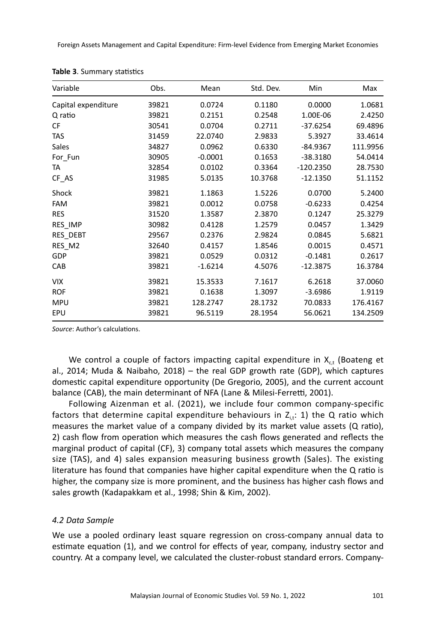Foreign Assets Management and Capital Expenditure: Firm-level Evidence from Emerging Market Economies

| Variable            | Obs.  | Mean      | Std. Dev. | Min         | Max      |
|---------------------|-------|-----------|-----------|-------------|----------|
| Capital expenditure | 39821 | 0.0724    | 0.1180    | 0.0000      | 1.0681   |
| Q ratio             | 39821 | 0.2151    | 0.2548    | 1.00E-06    | 2.4250   |
| CF                  | 30541 | 0.0704    | 0.2711    | $-37.6254$  | 69.4896  |
| <b>TAS</b>          | 31459 | 22.0740   | 2.9833    | 5.3927      | 33.4614  |
| Sales               | 34827 | 0.0962    | 0.6330    | -84.9367    | 111.9956 |
| For Fun             | 30905 | $-0.0001$ | 0.1653    | $-38.3180$  | 54.0414  |
| TA                  | 32854 | 0.0102    | 0.3364    | $-120.2350$ | 28.7530  |
| CF_AS               | 31985 | 5.0135    | 10.3768   | $-12.1350$  | 51.1152  |
| Shock               | 39821 | 1.1863    | 1.5226    | 0.0700      | 5.2400   |
| <b>FAM</b>          | 39821 | 0.0012    | 0.0758    | $-0.6233$   | 0.4254   |
| <b>RES</b>          | 31520 | 1.3587    | 2.3870    | 0.1247      | 25.3279  |
| RES IMP             | 30982 | 0.4128    | 1.2579    | 0.0457      | 1.3429   |
| RES_DEBT            | 29567 | 0.2376    | 2.9824    | 0.0845      | 5.6821   |
| RES_M2              | 32640 | 0.4157    | 1.8546    | 0.0015      | 0.4571   |
| GDP                 | 39821 | 0.0529    | 0.0312    | $-0.1481$   | 0.2617   |
| CAB                 | 39821 | $-1.6214$ | 4.5076    | $-12.3875$  | 16.3784  |
| <b>VIX</b>          | 39821 | 15.3533   | 7.1617    | 6.2618      | 37.0060  |
| <b>ROF</b>          | 39821 | 0.1638    | 1.3097    | $-3.6986$   | 1.9119   |
| <b>MPU</b>          | 39821 | 128.2747  | 28.1732   | 70.0833     | 176.4167 |
| EPU                 | 39821 | 96.5119   | 28.1954   | 56.0621     | 134.2509 |

|  | Table 3. Summary statistics |  |
|--|-----------------------------|--|
|--|-----------------------------|--|

*Source*: Author's calculations.

We control a couple of factors impacting capital expenditure in  $X_{ct}$  (Boateng et al., 2014; Muda & Naibaho, 2018) – the real GDP growth rate (GDP), which captures domestic capital expenditure opportunity (De Gregorio, 2005), and the current account balance (CAB), the main determinant of NFA (Lane & Milesi-Ferretti, 2001).

Following Aizenman et al. (2021), we include four common company-specific factors that determine capital expenditure behaviours in  $Z_{i,t}$ : 1) the Q ratio which measures the market value of a company divided by its market value assets (Q ratio), 2) cash flow from operation which measures the cash flows generated and reflects the marginal product of capital (CF), 3) company total assets which measures the company size (TAS), and 4) sales expansion measuring business growth (Sales). The existing literature has found that companies have higher capital expenditure when the Q ratio is higher, the company size is more prominent, and the business has higher cash flows and sales growth (Kadapakkam et al., 1998; Shin & Kim, 2002).

### *4.2 Data Sample*

We use a pooled ordinary least square regression on cross-company annual data to estimate equation (1), and we control for effects of year, company, industry sector and country. At a company level, we calculated the cluster-robust standard errors. Company-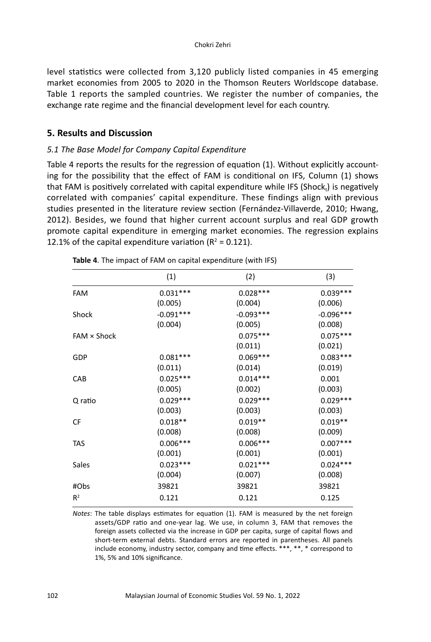level statistics were collected from 3,120 publicly listed companies in 45 emerging market economies from 2005 to 2020 in the Thomson Reuters Worldscope database. Table 1 reports the sampled countries. We register the number of companies, the exchange rate regime and the financial development level for each country.

## **5. Results and Discussion**

## *5.1 The Base Model for Company Capital Expenditure*

Table 4 reports the results for the regression of equation (1). Without explicitly accounting for the possibility that the effect of FAM is conditional on IFS, Column (1) shows that FAM is positively correlated with capital expenditure while IFS (Shock,) is negatively correlated with companies' capital expenditure. These findings align with previous studies presented in the literature review section (Fernández-Villaverde, 2010; Hwang, 2012). Besides, we found that higher current account surplus and real GDP growth promote capital expenditure in emerging market economies. The regression explains 12.1% of the capital expenditure variation ( $R^2 = 0.121$ ).

|                    | (1)         | (2)         | (3)         |
|--------------------|-------------|-------------|-------------|
| <b>FAM</b>         | $0.031***$  | $0.028***$  | $0.039***$  |
|                    | (0.005)     | (0.004)     | (0.006)     |
| Shock              | $-0.091***$ | $-0.093***$ | $-0.096***$ |
|                    | (0.004)     | (0.005)     | (0.008)     |
| $FAM \times Shock$ |             | $0.075***$  | $0.075***$  |
|                    |             | (0.011)     | (0.021)     |
| GDP                | $0.081***$  | $0.069***$  | $0.083***$  |
|                    | (0.011)     | (0.014)     | (0.019)     |
| CAB                | $0.025***$  | $0.014***$  | 0.001       |
|                    | (0.005)     | (0.002)     | (0.003)     |
| Q ratio            | $0.029***$  | $0.029***$  | $0.029***$  |
|                    | (0.003)     | (0.003)     | (0.003)     |
| CF                 | $0.018**$   | $0.019**$   | $0.019**$   |
|                    | (0.008)     | (0.008)     | (0.009)     |
| <b>TAS</b>         | $0.006***$  | $0.006***$  | $0.007***$  |
|                    | (0.001)     | (0.001)     | (0.001)     |
| Sales              | $0.023***$  | $0.021***$  | $0.024***$  |
|                    | (0.004)     | (0.007)     | (0.008)     |
| #Obs               | 39821       | 39821       | 39821       |
| $R^2$              | 0.121       | 0.121       | 0.125       |
|                    |             |             |             |

**Table 4**. The impact of FAM on capital expenditure (with IFS)

*Notes*: The table displays estimates for equation (1). FAM is measured by the net foreign assets/GDP ratio and one-year lag. We use, in column 3, FAM that removes the foreign assets collected via the increase in GDP per capita, surge of capital flows and short-term external debts. Standard errors are reported in parentheses. All panels include economy, industry sector, company and time effects. \*\*\*, \*\*, \* correspond to 1%, 5% and 10% significance.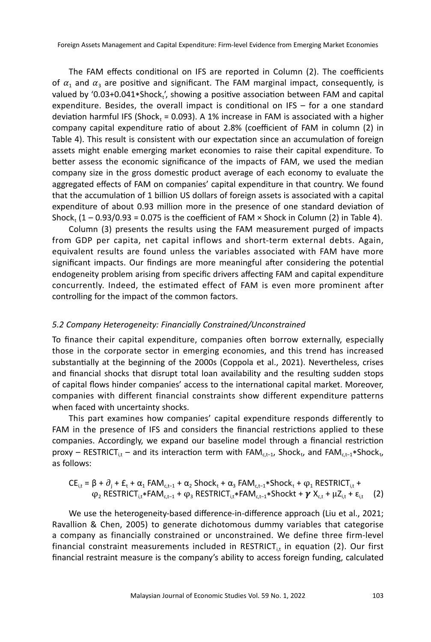The FAM effects conditional on IFS are reported in Column (2). The coefficients of  $\alpha_1$  and  $\alpha_3$  are positive and significant. The FAM marginal impact, consequently, is valued by '0.03+0.041 $*$ Shock $'$ , showing a positive association between FAM and capital expenditure. Besides, the overall impact is conditional on IFS – for a one standard deviation harmful IFS (Shock, = 0.093). A 1% increase in FAM is associated with a higher company capital expenditure ratio of about 2.8% (coefficient of FAM in column (2) in Table 4). This result is consistent with our expectation since an accumulation of foreign assets might enable emerging market economies to raise their capital expenditure. To better assess the economic significance of the impacts of FAM, we used the median company size in the gross domestic product average of each economy to evaluate the aggregated effects of FAM on companies' capital expenditure in that country. We found that the accumulation of 1 billion US dollars of foreign assets is associated with a capital expenditure of about 0.93 million more in the presence of one standard deviation of Shock,  $(1 - 0.93/0.93 = 0.075$  is the coefficient of FAM  $\times$  Shock in Column (2) in Table 4).

Column (3) presents the results using the FAM measurement purged of impacts from GDP per capita, net capital inflows and short-term external debts. Again, equivalent results are found unless the variables associated with FAM have more significant impacts. Our findings are more meaningful after considering the potential endogeneity problem arising from specific drivers affecting FAM and capital expenditure concurrently. Indeed, the estimated effect of FAM is even more prominent after controlling for the impact of the common factors.

#### *5.2 Company Heterogeneity: Financially Constrained/Unconstrained*

To finance their capital expenditure, companies often borrow externally, especially those in the corporate sector in emerging economies, and this trend has increased substantially at the beginning of the 2000s (Coppola et al., 2021). Nevertheless, crises and financial shocks that disrupt total loan availability and the resulting sudden stops of capital flows hinder companies' access to the international capital market. Moreover, companies with different financial constraints show different expenditure patterns when faced with uncertainty shocks.

This part examines how companies' capital expenditure responds differently to FAM in the presence of IFS and considers the financial restrictions applied to these companies. Accordingly, we expand our baseline model through a financial restriction proxy – RESTRICT<sub>it</sub> – and its interaction term with FAM<sub>ct−1</sub>, Shock<sub>t</sub>, and FAM<sub>ct−1</sub>\*Shock<sub>t</sub>, as follows:

$$
\begin{aligned} CE_{i,t} &= \beta + \partial_j + E_t + \alpha_1\text{ FAM}_{c,t-1} + \alpha_2\text{ Shock}_t + \alpha_3\text{ FAM}_{c,t-1} * \text{Shock}_t + \phi_1\text{ RESTRICT}_{i,t} + \\ & \varphi_2\text{ RESTRICT}_{i,t} * \text{FAM}_{c,t-1} + \varphi_3\text{ RESTRICT}_{i,t} * \text{FAM}_{c,t-1} * \text{Shock}_t + \gamma X_{c,t} + \mu Z_{i,t} + \epsilon_{i,t} \end{aligned} \hspace{.25cm} (2)
$$

We use the heterogeneity-based difference-in-difference approach (Liu et al., 2021; Ravallion & Chen, 2005) to generate dichotomous dummy variables that categorise a company as financially constrained or unconstrained. We define three firm-level financial constraint measurements included in RESTRICT<sub>it</sub> in equation (2). Our first financial restraint measure is the company's ability to access foreign funding, calculated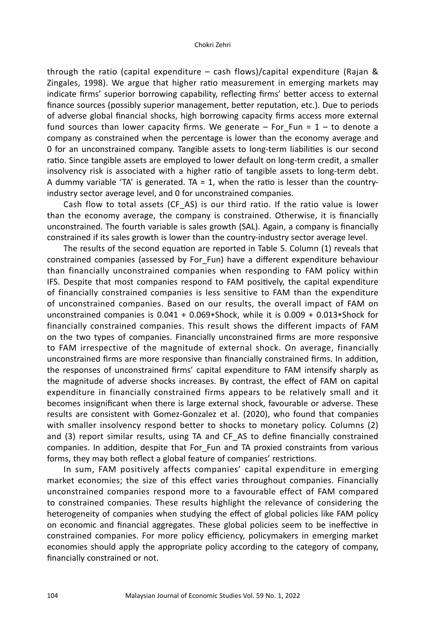through the ratio (capital expenditure – cash flows)/capital expenditure (Rajan & Zingales, 1998). We argue that higher ratio measurement in emerging markets may indicate firms' superior borrowing capability, reflecting firms' better access to external finance sources (possibly superior management, better reputation, etc.). Due to periods of adverse global financial shocks, high borrowing capacity firms access more external fund sources than lower capacity firms. We generate  $-$  For Fun = 1 – to denote a company as constrained when the percentage is lower than the economy average and 0 for an unconstrained company. Tangible assets to long-term liabilities is our second ratio. Since tangible assets are employed to lower default on long-term credit, a smaller insolvency risk is associated with a higher ratio of tangible assets to long-term debt. A dummy variable 'TA' is generated. TA = 1, when the ratio is lesser than the countryindustry sector average level, and 0 for unconstrained companies.

Cash flow to total assets (CF\_AS) is our third ratio. If the ratio value is lower than the economy average, the company is constrained. Otherwise, it is financially unconstrained. The fourth variable is sales growth (SAL). Again, a company is financially constrained if its sales growth is lower than the country-industry sector average level.

The results of the second equation are reported in Table 5. Column (1) reveals that constrained companies (assessed by For\_Fun) have a different expenditure behaviour than financially unconstrained companies when responding to FAM policy within IFS. Despite that most companies respond to FAM positively, the capital expenditure of financially constrained companies is less sensitive to FAM than the expenditure of unconstrained companies. Based on our results, the overall impact of FAM on unconstrained companies is 0.041 + 0.069\*Shock, while it is 0.009 + 0.013\*Shock for financially constrained companies. This result shows the different impacts of FAM on the two types of companies. Financially unconstrained firms are more responsive to FAM irrespective of the magnitude of external shock. On average, financially unconstrained firms are more responsive than financially constrained firms. In addition, the responses of unconstrained firms' capital expenditure to FAM intensify sharply as the magnitude of adverse shocks increases. By contrast, the effect of FAM on capital expenditure in financially constrained firms appears to be relatively small and it becomes insignificant when there is large external shock, favourable or adverse. These results are consistent with Gomez-Gonzalez et al. (2020), who found that companies with smaller insolvency respond better to shocks to monetary policy. Columns (2) and (3) report similar results, using TA and CF\_AS to define financially constrained companies. In addition, despite that For\_Fun and TA proxied constraints from various forms, they may both reflect a global feature of companies' restrictions.

In sum, FAM positively affects companies' capital expenditure in emerging market economies; the size of this effect varies throughout companies. Financially unconstrained companies respond more to a favourable effect of FAM compared to constrained companies. These results highlight the relevance of considering the heterogeneity of companies when studying the effect of global policies like FAM policy on economic and financial aggregates. These global policies seem to be ineffective in constrained companies. For more policy efficiency, policymakers in emerging market economies should apply the appropriate policy according to the category of company, financially constrained or not.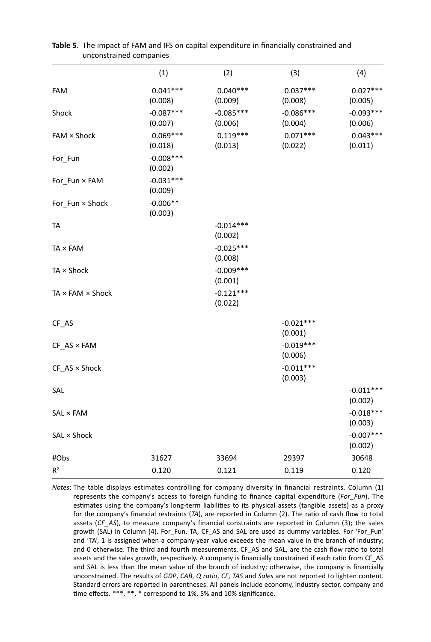|                              | (1)                    | (2)                    | (3)                    | (4)                    |
|------------------------------|------------------------|------------------------|------------------------|------------------------|
| FAM                          | $0.041***$<br>(0.008)  | $0.040***$<br>(0.009)  | $0.037***$<br>(0.008)  | $0.027***$<br>(0.005)  |
| Shock                        | $-0.087***$<br>(0.007) | $-0.085***$<br>(0.006) | $-0.086***$<br>(0.004) | $-0.093***$<br>(0.006) |
| FAM × Shock                  | $0.069***$<br>(0.018)  | $0.119***$<br>(0.013)  | $0.071***$<br>(0.022)  | $0.043***$<br>(0.011)  |
| For_Fun                      | $-0.008***$<br>(0.002) |                        |                        |                        |
| For_Fun × FAM                | $-0.031***$<br>(0.009) |                        |                        |                        |
| For_Fun × Shock              | $-0.006**$<br>(0.003)  |                        |                        |                        |
| <b>TA</b>                    |                        | $-0.014***$<br>(0.002) |                        |                        |
| TA × FAM                     |                        | $-0.025***$<br>(0.008) |                        |                        |
| TA × Shock                   |                        | $-0.009***$<br>(0.001) |                        |                        |
| $TA \times FAM \times Shock$ |                        | $-0.121***$<br>(0.022) |                        |                        |
| CF_AS                        |                        |                        | $-0.021***$<br>(0.001) |                        |
| $CF$ AS $\times$ FAM         |                        |                        | $-0.019***$<br>(0.006) |                        |
| $CF\_AS \times Shock$        |                        |                        | $-0.011***$<br>(0.003) |                        |
| SAL                          |                        |                        |                        | $-0.011***$<br>(0.002) |
| SAL × FAM                    |                        |                        |                        | $-0.018***$<br>(0.003) |
| SAL × Shock                  |                        |                        |                        | $-0.007***$<br>(0.002) |
| #Obs                         | 31627                  | 33694                  | 29397                  | 30648                  |
| R <sup>2</sup>               | 0.120                  | 0.121                  | 0.119                  | 0.120                  |

| <b>Table 5</b> . The impact of FAM and IFS on capital expenditure in financially constrained and |
|--------------------------------------------------------------------------------------------------|
| unconstrained companies                                                                          |

*Notes*: The table displays estimates controlling for company diversity in financial restraints. Column (1) represents the company's access to foreign funding to finance capital expenditure (*For\_Fun*). The estimates using the company's long-term liabilities to its physical assets (tangible assets) as a proxy for the company's financial restraints (*TA*), are reported in Column (2). The ratio of cash flow to total assets (*CF\_AS*), to measure company's financial constraints are reported in Column (3); the sales growth (SAL) in Column (4). For\_Fun, TA, CF\_AS and SAL are used as dummy variables. For 'For\_Fun' and 'TA', 1 is assigned when a company-year value exceeds the mean value in the branch of industry; and 0 otherwise. The third and fourth measurements, CF\_AS and SAL, are the cash flow ratio to total assets and the sales growth, respectively. A company is financially constrained if each ratio from CF\_AS and SAL is less than the mean value of the branch of industry; otherwise, the company is financially unconstrained. The results of *GDP*, *CAB*, *Q ratio*, *CF*, *TAS* and *Sales* are not reported to lighten content. Standard errors are reported in parentheses. All panels include economy, industry sector, company and time effects. \*\*\*, \*\*, \* correspond to 1%, 5% and 10% significance.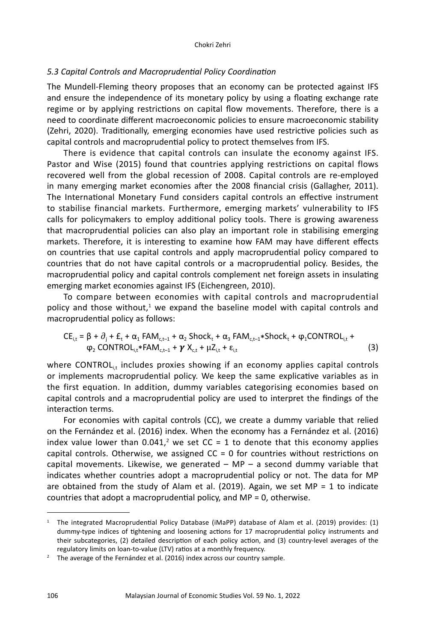#### *5.3 Capital Controls and Macroprudential Policy Coordination*

The Mundell-Fleming theory proposes that an economy can be protected against IFS and ensure the independence of its monetary policy by using a floating exchange rate regime or by applying restrictions on capital flow movements. Therefore, there is a need to coordinate different macroeconomic policies to ensure macroeconomic stability (Zehri, 2020). Traditionally, emerging economies have used restrictive policies such as capital controls and macroprudential policy to protect themselves from IFS.

There is evidence that capital controls can insulate the economy against IFS. Pastor and Wise (2015) found that countries applying restrictions on capital flows recovered well from the global recession of 2008. Capital controls are re-employed in many emerging market economies after the 2008 financial crisis (Gallagher, 2011). The International Monetary Fund considers capital controls an effective instrument to stabilise financial markets. Furthermore, emerging markets' vulnerability to IFS calls for policymakers to employ additional policy tools. There is growing awareness that macroprudential policies can also play an important role in stabilising emerging markets. Therefore, it is interesting to examine how FAM may have different effects on countries that use capital controls and apply macroprudential policy compared to countries that do not have capital controls or a macroprudential policy. Besides, the macroprudential policy and capital controls complement net foreign assets in insulating emerging market economies against IFS (Eichengreen, 2010).

To compare between economies with capital controls and macroprudential policy and those without,<sup>1</sup> we expand the baseline model with capital controls and macroprudential policy as follows:

$$
CE_{i,t} = \beta + \partial_j + E_t + \alpha_1 FAM_{c,t-1} + \alpha_2 Shock_t + \alpha_3 FAM_{c,t-1} * Shock_t + \phi_1 CONTROL_{i,t} + \phi_2 CONTROL_{i,t} * FAM_{c,t-1} + \gamma X_{c,t} + \mu Z_{i,t} + \epsilon_{i,t}
$$
\n(3)

where CONTROL $_i$ , includes proxies showing if an economy applies capital controls or implements macroprudential policy. We keep the same explicative variables as in the first equation. In addition, dummy variables categorising economies based on capital controls and a macroprudential policy are used to interpret the findings of the interaction terms.

For economies with capital controls (CC), we create a dummy variable that relied on the Fernández et al. (2016) index. When the economy has a Fernández et al. (2016) index value lower than  $0.041$ ,<sup>2</sup> we set CC = 1 to denote that this economy applies capital controls. Otherwise, we assigned  $CC = 0$  for countries without restrictions on capital movements. Likewise, we generated  $-$  MP  $-$  a second dummy variable that indicates whether countries adopt a macroprudential policy or not. The data for MP are obtained from the study of Alam et al. (2019). Again, we set  $MP = 1$  to indicate countries that adopt a macroprudential policy, and MP = 0, otherwise.

<sup>1</sup> The integrated Macroprudential Policy Database (iMaPP) database of Alam et al. (2019) provides: (1) dummy-type indices of tightening and loosening actions for 17 macroprudential policy instruments and their subcategories, (2) detailed description of each policy action, and (3) country-level averages of the regulatory limits on loan-to-value (LTV) ratios at a monthly frequency.

<sup>&</sup>lt;sup>2</sup> The average of the Fernández et al. (2016) index across our country sample.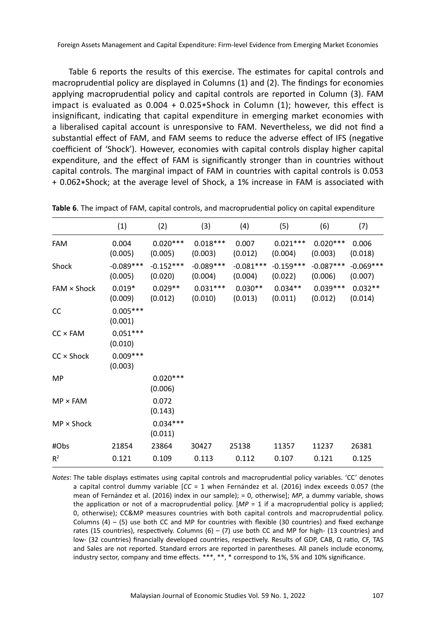Table 6 reports the results of this exercise. The estimates for capital controls and macroprudential policy are displayed in Columns (1) and (2). The findings for economies applying macroprudential policy and capital controls are reported in Column (3). FAM impact is evaluated as 0.004 + 0.025\*Shock in Column (1); however, this effect is insignificant, indicating that capital expenditure in emerging market economies with a liberalised capital account is unresponsive to FAM. Nevertheless, we did not find a substantial effect of FAM, and FAM seems to reduce the adverse effect of IFS (negative coefficient of 'Shock'). However, economies with capital controls display higher capital expenditure, and the effect of FAM is significantly stronger than in countries without capital controls. The marginal impact of FAM in countries with capital controls is 0.053 + 0.062\*Shock; at the average level of Shock, a 1% increase in FAM is associated with

|                   | (1)                    | (2)                    | (3)                    | (4)                    | (5)                    | (6)                    | (7)                    |
|-------------------|------------------------|------------------------|------------------------|------------------------|------------------------|------------------------|------------------------|
| <b>FAM</b>        | 0.004<br>(0.005)       | $0.020***$<br>(0.005)  | $0.018***$<br>(0.003)  | 0.007<br>(0.012)       | $0.021***$<br>(0.004)  | $0.020***$<br>(0.003)  | 0.006<br>(0.018)       |
| Shock             | $-0.089***$<br>(0.005) | $-0.152***$<br>(0.020) | $-0.089***$<br>(0.004) | $-0.081***$<br>(0.004) | $-0.159***$<br>(0.022) | $-0.087***$<br>(0.006) | $-0.069***$<br>(0.007) |
| FAM × Shock       | $0.019*$<br>(0.009)    | $0.029**$<br>(0.012)   | $0.031***$<br>(0.010)  | $0.030**$<br>(0.013)   | $0.034**$<br>(0.011)   | $0.039***$<br>(0.012)  | $0.032**$<br>(0.014)   |
| CC                | $0.005***$<br>(0.001)  |                        |                        |                        |                        |                        |                        |
| $CC \times FAM$   | $0.051***$<br>(0.010)  |                        |                        |                        |                        |                        |                        |
| $CC \times$ Shock | $0.009***$<br>(0.003)  |                        |                        |                        |                        |                        |                        |
| MP                |                        | $0.020***$<br>(0.006)  |                        |                        |                        |                        |                        |
| $MP \times FAM$   |                        | 0.072<br>(0.143)       |                        |                        |                        |                        |                        |
| $MP \times$ Shock |                        | $0.034***$<br>(0.011)  |                        |                        |                        |                        |                        |
| #Obs              | 21854                  | 23864                  | 30427                  | 25138                  | 11357                  | 11237                  | 26381                  |
| $R^2$             | 0.121                  | 0.109                  | 0.113                  | 0.112                  | 0.107                  | 0.121                  | 0.125                  |

**Table 6**. The impact of FAM, capital controls, and macroprudential policy on capital expenditure

*Notes*: The table displays estimates using capital controls and macroprudential policy variables. 'CC' denotes a capital control dummy variable [*CC* = 1 when Fernández et al. (2016) index exceeds 0.057 (the mean of Fernández et al. (2016) index in our sample); = 0, otherwise]; *MP*, a dummy variable, shows the application or not of a macroprudential policy. [*MP* = 1 if a macroprudential policy is applied; 0, otherwise); CC&MP measures countries with both capital controls and macroprudential policy. Columns  $(4) - (5)$  use both CC and MP for countries with flexible (30 countries) and fixed exchange rates (15 countries), respectively. Columns  $(6) - (7)$  use both CC and MP for high- (13 countries) and low- (32 countries) financially developed countries, respectively. Results of GDP, CAB, Q ratio, CF, TAS and Sales are not reported. Standard errors are reported in parentheses. All panels include economy, industry sector, company and time effects. \*\*\*, \*\*, \* correspond to 1%, 5% and 10% significance.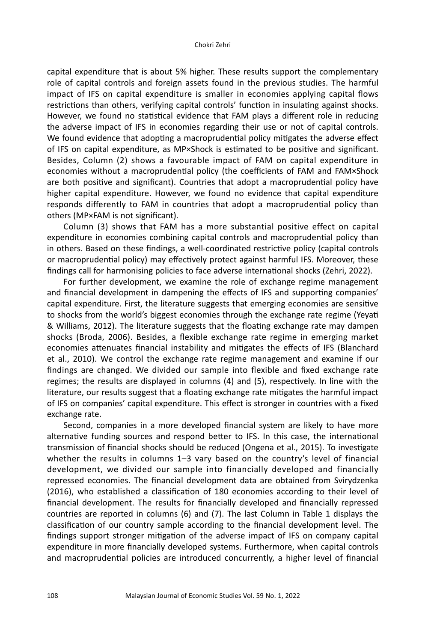capital expenditure that is about 5% higher. These results support the complementary role of capital controls and foreign assets found in the previous studies. The harmful impact of IFS on capital expenditure is smaller in economies applying capital flows restrictions than others, verifying capital controls' function in insulating against shocks. However, we found no statistical evidence that FAM plays a different role in reducing the adverse impact of IFS in economies regarding their use or not of capital controls. We found evidence that adopting a macroprudential policy mitigates the adverse effect of IFS on capital expenditure, as MP×Shock is estimated to be positive and significant. Besides, Column (2) shows a favourable impact of FAM on capital expenditure in economies without a macroprudential policy (the coefficients of FAM and FAM×Shock are both positive and significant). Countries that adopt a macroprudential policy have higher capital expenditure. However, we found no evidence that capital expenditure responds differently to FAM in countries that adopt a macroprudential policy than others (MP×FAM is not significant).

Column (3) shows that FAM has a more substantial positive effect on capital expenditure in economies combining capital controls and macroprudential policy than in others. Based on these findings, a well-coordinated restrictive policy (capital controls or macroprudential policy) may effectively protect against harmful IFS. Moreover, these findings call for harmonising policies to face adverse international shocks (Zehri, 2022).

For further development, we examine the role of exchange regime management and financial development in dampening the effects of IFS and supporting companies' capital expenditure. First, the literature suggests that emerging economies are sensitive to shocks from the world's biggest economies through the exchange rate regime (Yeyati & Williams, 2012). The literature suggests that the floating exchange rate may dampen shocks (Broda, 2006). Besides, a flexible exchange rate regime in emerging market economies attenuates financial instability and mitigates the effects of IFS (Blanchard et al., 2010). We control the exchange rate regime management and examine if our findings are changed. We divided our sample into flexible and fixed exchange rate regimes; the results are displayed in columns (4) and (5), respectively. In line with the literature, our results suggest that a floating exchange rate mitigates the harmful impact of IFS on companies' capital expenditure. This effect is stronger in countries with a fixed exchange rate.

Second, companies in a more developed financial system are likely to have more alternative funding sources and respond better to IFS. In this case, the international transmission of financial shocks should be reduced (Ongena et al., 2015). To investigate whether the results in columns 1-3 vary based on the country's level of financial development, we divided our sample into financially developed and financially repressed economies. The financial development data are obtained from Svirydzenka (2016), who established a classification of 180 economies according to their level of financial development. The results for financially developed and financially repressed countries are reported in columns (6) and (7). The last Column in Table 1 displays the classification of our country sample according to the financial development level. The findings support stronger mitigation of the adverse impact of IFS on company capital expenditure in more financially developed systems. Furthermore, when capital controls and macroprudential policies are introduced concurrently, a higher level of financial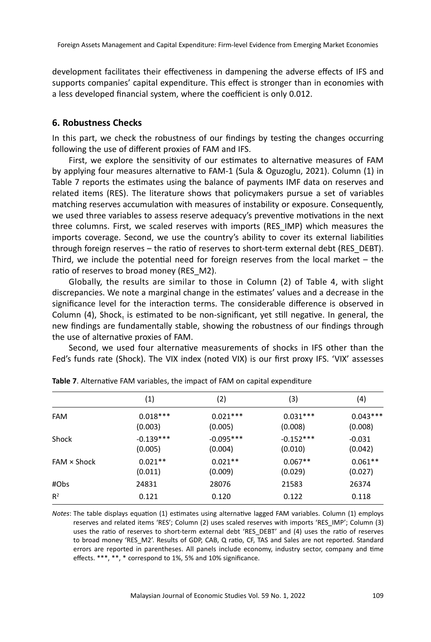development facilitates their effectiveness in dampening the adverse effects of IFS and supports companies' capital expenditure. This effect is stronger than in economies with a less developed financial system, where the coefficient is only 0.012.

#### **6. Robustness Checks**

In this part, we check the robustness of our findings by testing the changes occurring following the use of different proxies of FAM and IFS.

First, we explore the sensitivity of our estimates to alternative measures of FAM by applying four measures alternative to FAM-1 (Sula & Oguzoglu, 2021). Column (1) in Table 7 reports the estimates using the balance of payments IMF data on reserves and related items (RES). The literature shows that policymakers pursue a set of variables matching reserves accumulation with measures of instability or exposure. Consequently, we used three variables to assess reserve adequacy's preventive motivations in the next three columns. First, we scaled reserves with imports (RES\_IMP) which measures the imports coverage. Second, we use the country's ability to cover its external liabilities through foreign reserves – the ratio of reserves to short-term external debt (RES\_DEBT). Third, we include the potential need for foreign reserves from the local market – the ratio of reserves to broad money (RES\_M2).

Globally, the results are similar to those in Column (2) of Table 4, with slight discrepancies. We note a marginal change in the estimates' values and a decrease in the significance level for the interaction terms. The considerable difference is observed in Column (4), Shock, is estimated to be non-significant, yet still negative. In general, the new findings are fundamentally stable, showing the robustness of our findings through the use of alternative proxies of FAM.

Second, we used four alternative measurements of shocks in IFS other than the Fed's funds rate (Shock). The VIX index (noted VIX) is our first proxy IFS. 'VIX' assesses

|                    | (1)                    | (2)                    | (3)                    | (4)                   |
|--------------------|------------------------|------------------------|------------------------|-----------------------|
| <b>FAM</b>         | $0.018***$<br>(0.003)  | $0.021***$<br>(0.005)  | $0.031***$<br>(0.008)  | $0.043***$<br>(0.008) |
| Shock              | $-0.139***$<br>(0.005) | $-0.095***$<br>(0.004) | $-0.152***$<br>(0.010) | $-0.031$<br>(0.042)   |
| $FAM \times Shock$ | $0.021**$<br>(0.011)   | $0.021**$<br>(0.009)   | $0.067**$<br>(0.029)   | $0.061**$<br>(0.027)  |
| #Obs               | 24831                  | 28076                  | 21583                  | 26374                 |
| $R^2$              | 0.121                  | 0.120                  | 0.122                  | 0.118                 |
|                    |                        |                        |                        |                       |

|  |  | Table 7. Alternative FAM variables, the impact of FAM on capital expenditure |  |  |  |  |
|--|--|------------------------------------------------------------------------------|--|--|--|--|
|--|--|------------------------------------------------------------------------------|--|--|--|--|

*Notes*: The table displays equation (1) estimates using alternative lagged FAM variables. Column (1) employs reserves and related items 'RES'; Column (2) uses scaled reserves with imports 'RES\_IMP'; Column (3) uses the ratio of reserves to short-term external debt 'RES\_DEBT' and (4) uses the ratio of reserves to broad money 'RES\_M2'. Results of GDP, CAB, Q ratio, CF, TAS and Sales are not reported. Standard errors are reported in parentheses. All panels include economy, industry sector, company and time effects. \*\*\*, \*\*, \* correspond to 1%, 5% and 10% significance.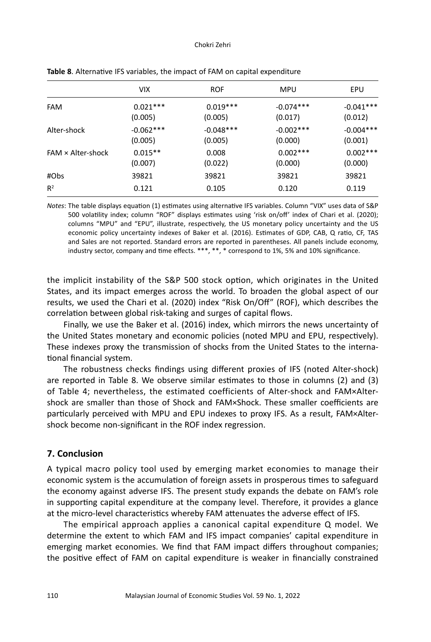#### Chokri Zehri

|                          | VIX.                   | <b>ROF</b>             | MPU                     | EPU                    |
|--------------------------|------------------------|------------------------|-------------------------|------------------------|
| <b>FAM</b>               | $0.021***$<br>(0.005)  | $0.019***$<br>(0.005)  | $-0.074***$<br>(0.017)  | $-0.041***$<br>(0.012) |
| Alter-shock              | $-0.062***$<br>(0.005) | $-0.048***$<br>(0.005) | $-0.002$ ***<br>(0.000) | $-0.004***$<br>(0.001) |
| $FAM \times$ Alter-shock | $0.015**$<br>(0.007)   | 0.008<br>(0.022)       | $0.002***$<br>(0.000)   | $0.002***$<br>(0.000)  |
| #Obs                     | 39821                  | 39821                  | 39821                   | 39821                  |
| $R^2$                    | 0.121                  | 0.105                  | 0.120                   | 0.119                  |

| Table 8. Alternative IFS variables, the impact of FAM on capital expenditure |  |  |
|------------------------------------------------------------------------------|--|--|
|------------------------------------------------------------------------------|--|--|

*Notes*: The table displays equation (1) estimates using alternative IFS variables. Column "VIX" uses data of S&P 500 volatility index; column "ROF" displays estimates using 'risk on/off' index of Chari et al. (2020); columns "MPU" and "EPU", illustrate, respectively, the US monetary policy uncertainty and the US economic policy uncertainty indexes of Baker et al. (2016). Estimates of GDP, CAB, Q ratio, CF, TAS and Sales are not reported. Standard errors are reported in parentheses. All panels include economy, industry sector, company and time effects. \*\*\*, \*\*, \* correspond to 1%, 5% and 10% significance.

the implicit instability of the S&P 500 stock option, which originates in the United States, and its impact emerges across the world. To broaden the global aspect of our results, we used the Chari et al. (2020) index "Risk On/Off" (ROF), which describes the correlation between global risk-taking and surges of capital flows.

Finally, we use the Baker et al. (2016) index, which mirrors the news uncertainty of the United States monetary and economic policies (noted MPU and EPU, respectively). These indexes proxy the transmission of shocks from the United States to the international financial system.

The robustness checks findings using different proxies of IFS (noted Alter-shock) are reported in Table 8. We observe similar estimates to those in columns (2) and (3) of Table 4; nevertheless, the estimated coefficients of Alter-shock and FAM×Altershock are smaller than those of Shock and FAM×Shock. These smaller coefficients are particularly perceived with MPU and EPU indexes to proxy IFS. As a result, FAM×Altershock become non-significant in the ROF index regression.

### **7. Conclusion**

A typical macro policy tool used by emerging market economies to manage their economic system is the accumulation of foreign assets in prosperous times to safeguard the economy against adverse IFS. The present study expands the debate on FAM's role in supporting capital expenditure at the company level. Therefore, it provides a glance at the micro-level characteristics whereby FAM attenuates the adverse effect of IFS.

The empirical approach applies a canonical capital expenditure Q model. We determine the extent to which FAM and IFS impact companies' capital expenditure in emerging market economies. We find that FAM impact differs throughout companies; the positive effect of FAM on capital expenditure is weaker in financially constrained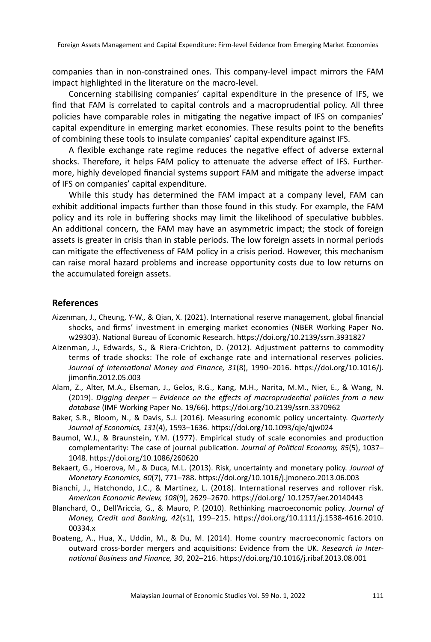companies than in non-constrained ones. This company-level impact mirrors the FAM impact highlighted in the literature on the macro-level.

Concerning stabilising companies' capital expenditure in the presence of IFS, we find that FAM is correlated to capital controls and a macroprudential policy. All three policies have comparable roles in mitigating the negative impact of IFS on companies' capital expenditure in emerging market economies. These results point to the benefits of combining these tools to insulate companies' capital expenditure against IFS.

A flexible exchange rate regime reduces the negative effect of adverse external shocks. Therefore, it helps FAM policy to attenuate the adverse effect of IFS. Furthermore, highly developed financial systems support FAM and mitigate the adverse impact of IFS on companies' capital expenditure.

While this study has determined the FAM impact at a company level, FAM can exhibit additional impacts further than those found in this study. For example, the FAM policy and its role in buffering shocks may limit the likelihood of speculative bubbles. An additional concern, the FAM may have an asymmetric impact; the stock of foreign assets is greater in crisis than in stable periods. The low foreign assets in normal periods can mitigate the effectiveness of FAM policy in a crisis period. However, this mechanism can raise moral hazard problems and increase opportunity costs due to low returns on the accumulated foreign assets.

#### **References**

- Aizenman, J., Cheung, Y-W., & Qian, X. (2021). International reserve management, global financial shocks, and firms' investment in emerging market economies (NBER Working Paper No. w29303). National Bureau of Economic Research. https://doi.org/10.2139/ssrn.3931827
- Aizenman, J., Edwards, S., & Riera-Crichton, D. (2012). Adjustment patterns to commodity terms of trade shocks: The role of exchange rate and international reserves policies. *Journal of International Money and Finance, 31*(8), 1990–2016. https://doi.org/10.1016/j. jimonfin.2012.05.003
- Alam, Z., Alter, M.A., Elseman, J., Gelos, R.G., Kang, M.H., Narita, M.M., Nier, E., & Wang, N. (2019). *Digging deeper – Evidence on the effects of macroprudential policies from a new database* (IMF Working Paper No. 19/66). https://doi.org/10.2139/ssrn.3370962
- Baker, S.R., Bloom, N., & Davis, S.J. (2016). Measuring economic policy uncertainty. *Quarterly Journal of Economics, 131*(4), 1593–1636. https://doi.org/10.1093/qje/qjw024
- Baumol, W.J., & Braunstein, Y.M. (1977). Empirical study of scale economies and production complementarity: The case of journal publication. *Journal of Political Economy, 85*(5), 1037– 1048. https://doi.org/10.1086/260620
- Bekaert, G., Hoerova, M., & Duca, M.L. (2013). Risk, uncertainty and monetary policy. *Journal of Monetary Economics, 60*(7), 771–788. https://doi.org/10.1016/j.jmoneco.2013.06.003
- Bianchi, J., Hatchondo, J.C., & Martinez, L. (2018). International reserves and rollover risk. *American Economic Review, 108*(9), 2629–2670. https://doi.org/ 10.1257/aer.20140443
- Blanchard, O., Dell'Ariccia, G., & Mauro, P. (2010). Rethinking macroeconomic policy. *Journal of Money, Credit and Banking, 42*(s1), 199–215. https://doi.org/10.1111/j.1538-4616.2010. 00334.x
- Boateng, A., Hua, X., Uddin, M., & Du, M. (2014). Home country macroeconomic factors on outward cross-border mergers and acquisitions: Evidence from the UK. *Research in International Business and Finance, 30*, 202–216. https://doi.org/10.1016/j.ribaf.2013.08.001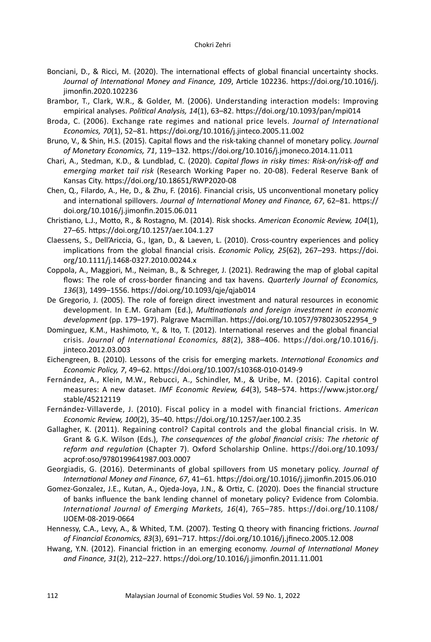- Bonciani, D., & Ricci, M. (2020). The international effects of global financial uncertainty shocks. *Journal of International Money and Finance, 109*, Article 102236. https://doi.org/10.1016/j. jimonfin.2020.102236
- Brambor, T., Clark, W.R., & Golder, M. (2006). Understanding interaction models: Improving empirical analyses. *Political Analysis, 14*(1), 63–82. https://doi.org/10.1093/pan/mpi014
- Broda, C. (2006). Exchange rate regimes and national price levels. *Journal of International Economics, 70*(1), 52–81. https://doi.org/10.1016/j.jinteco.2005.11.002
- Bruno, V., & Shin, H.S. (2015). Capital flows and the risk-taking channel of monetary policy. *Journal of Monetary Economics, 71*, 119–132. https://doi.org/10.1016/j.jmoneco.2014.11.011
- Chari, A., Stedman, K.D., & Lundblad, C. (2020). *Capital flows in risky times: Risk-on/risk-off and emerging market tail risk* (Research Working Paper no. 20-08). Federal Reserve Bank of Kansas City. https://doi.org/10.18651/RWP2020-08
- Chen, Q., Filardo, A., He, D., & Zhu, F. (2016). Financial crisis, US unconventional monetary policy and international spillovers. *Journal of International Money and Finance, 67*, 62–81. https:// doi.org/10.1016/j.jimonfin.2015.06.011
- Christiano, L.J., Motto, R., & Rostagno, M. (2014). Risk shocks. *American Economic Review, 104*(1), 27–65. https://doi.org/10.1257/aer.104.1.27
- Claessens, S., Dell'Ariccia, G., Igan, D., & Laeven, L. (2010). Cross-country experiences and policy implications from the global financial crisis. *Economic Policy, 25*(62), 267–293. https://doi. org/10.1111/j.1468-0327.2010.00244.x
- Coppola, A., Maggiori, M., Neiman, B., & Schreger, J. (2021). Redrawing the map of global capital flows: The role of cross-border financing and tax havens. *Quarterly Journal of Economics, 136*(3), 1499–1556. https://doi.org/10.1093/qje/qjab014
- De Gregorio, J. (2005). The role of foreign direct investment and natural resources in economic development. In E.M. Graham (Ed.), *Multinationals and foreign investment in economic development* (pp. 179–197). Palgrave Macmillan. https://doi.org/10.1057/9780230522954\_9
- Dominguez, K.M., Hashimoto, Y., & Ito, T. (2012). International reserves and the global financial crisis. *Journal of International Economics, 88*(2), 388–406. https://doi.org/10.1016/j. jinteco.2012.03.003
- Eichengreen, B. (2010). Lessons of the crisis for emerging markets. *International Economics and Economic Policy, 7*, 49–62. https://doi.org/10.1007/s10368-010-0149-9
- Fernández, A., Klein, M.W., Rebucci, A., Schindler, M., & Uribe, M. (2016). Capital control measures: A new dataset. *IMF Economic Review, 64*(3), 548–574. https://www.jstor.org/ stable/45212119
- Fernández-Villaverde, J. (2010). Fiscal policy in a model with financial frictions. *American Economic Review, 100*(2), 35–40. https://doi.org/10.1257/aer.100.2.35
- Gallagher, K. (2011). Regaining control? Capital controls and the global financial crisis. In W. Grant & G.K. Wilson (Eds.), *The consequences of the global financial crisis: The rhetoric of reform and regulation* (Chapter 7). Oxford Scholarship Online. https://doi.org/10.1093/ acprof:oso/9780199641987.003.0007
- Georgiadis, G. (2016). Determinants of global spillovers from US monetary policy. *Journal of International Money and Finance, 67*, 41–61. https://doi.org/10.1016/j.jimonfin.2015.06.010
- Gomez-Gonzalez, J.E., Kutan, A., Ojeda-Joya, J.N., & Ortiz, C. (2020). Does the financial structure of banks influence the bank lending channel of monetary policy? Evidence from Colombia. *International Journal of Emerging Markets, 16*(4), 765–785. https://doi.org/10.1108/ IJOEM-08-2019-0664
- Hennessy, C.A., Levy, A., & Whited, T.M. (2007). Testing Q theory with financing frictions. *Journal of Financial Economics, 83*(3), 691–717. https://doi.org/10.1016/j.jfineco.2005.12.008
- Hwang, Y.N. (2012). Financial friction in an emerging economy. *Journal of International Money and Finance, 31*(2), 212–227. https://doi.org/10.1016/j.jimonfin.2011.11.001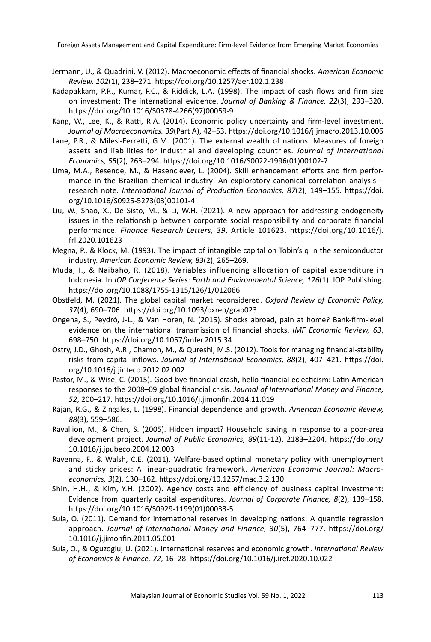Foreign Assets Management and Capital Expenditure: Firm-level Evidence from Emerging Market Economies

- Jermann, U., & Quadrini, V. (2012). Macroeconomic effects of financial shocks. *American Economic Review, 102*(1), 238–271. https://doi.org/10.1257/aer.102.1.238
- Kadapakkam, P.R., Kumar, P.C., & Riddick, L.A. (1998). The impact of cash flows and firm size on investment: The international evidence. *Journal of Banking & Finance, 22*(3), 293–320. https://doi.org/10.1016/S0378-4266(97)00059-9
- Kang, W., Lee, K., & Ratti, R.A. (2014). Economic policy uncertainty and firm-level investment. *Journal of Macroeconomics, 39*(Part A), 42–53. https://doi.org/10.1016/j.jmacro.2013.10.006
- Lane, P.R., & Milesi-Ferretti, G.M. (2001). The external wealth of nations: Measures of foreign assets and liabilities for industrial and developing countries. *Journal of International Economics, 55*(2), 263–294. https://doi.org/10.1016/S0022-1996(01)00102-7
- Lima, M.A., Resende, M., & Hasenclever, L. (2004). Skill enhancement efforts and firm performance in the Brazilian chemical industry: An exploratory canonical correlation analysis research note. *International Journal of Production Economics, 87*(2), 149–155. https://doi. org/10.1016/S0925-5273(03)00101-4
- Liu, W., Shao, X., De Sisto, M., & Li, W.H. (2021). A new approach for addressing endogeneity issues in the relationship between corporate social responsibility and corporate financial performance. *Finance Research Letters, 39*, Article 101623. https://doi.org/10.1016/j. frl.2020.101623
- Megna, P., & Klock, M. (1993). The impact of intangible capital on Tobin's q in the semiconductor industry. *American Economic Review, 83*(2), 265–269.
- Muda, I., & Naibaho, R. (2018). Variables influencing allocation of capital expenditure in Indonesia. In *IOP Conference Series: Earth and Environmental Science, 126*(1). IOP Publishing. https://doi.org/10.1088/1755-1315/126/1/012066
- Obstfeld, M. (2021). The global capital market reconsidered. *Oxford Review of Economic Policy, 37*(4), 690–706. https://doi.org/10.1093/oxrep/grab023
- Ongena, S., Peydró, J-L., & Van Horen, N. (2015). Shocks abroad, pain at home? Bank-firm-level evidence on the international transmission of financial shocks. *IMF Economic Review, 63*, 698–750. https://doi.org/10.1057/imfer.2015.34
- Ostry, J.D., Ghosh, A.R., Chamon, M., & Qureshi, M.S. (2012). Tools for managing financial-stability risks from capital inflows. *Journal of International Economics, 88*(2), 407–421. https://doi. org/10.1016/j.jinteco.2012.02.002
- Pastor, M., & Wise, C. (2015). Good-bye financial crash, hello financial eclecticism: Latin American responses to the 2008–09 global financial crisis. *Journal of International Money and Finance, 52*, 200–217. https://doi.org/10.1016/j.jimonfin.2014.11.019
- Rajan, R.G., & Zingales, L. (1998). Financial dependence and growth. *American Economic Review, 88*(3), 559–586.
- Ravallion, M., & Chen, S. (2005). Hidden impact? Household saving in response to a poor-area development project. *Journal of Public Economics, 89*(11-12), 2183–2204. https://doi.org/ 10.1016/j.jpubeco.2004.12.003
- Ravenna, F., & Walsh, C.E. (2011). Welfare-based optimal monetary policy with unemployment and sticky prices: A linear-quadratic framework. *American Economic Journal: Macroeconomics, 3*(2), 130–162. https://doi.org/10.1257/mac.3.2.130
- Shin, H.H., & Kim, Y.H. (2002). Agency costs and efficiency of business capital investment: Evidence from quarterly capital expenditures. *Journal of Corporate Finance, 8*(2), 139–158. https://doi.org/10.1016/S0929-1199(01)00033-5
- Sula, O. (2011). Demand for international reserves in developing nations: A quantile regression approach. *Journal of International Money and Finance, 30*(5), 764–777. https://doi.org/ 10.1016/j.jimonfin.2011.05.001
- Sula, O., & Oguzoglu, U. (2021). International reserves and economic growth. *International Review of Economics & Finance, 72*, 16–28. https://doi.org/10.1016/j.iref.2020.10.022